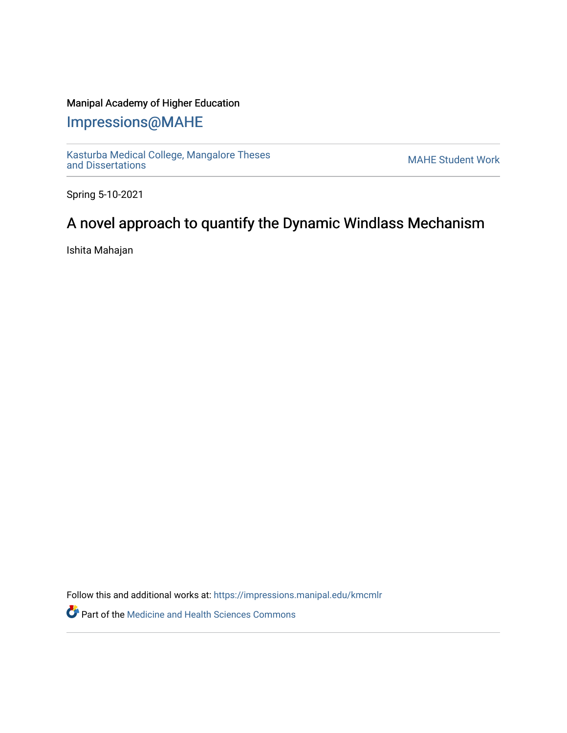## Manipal Academy of Higher Education

## [Impressions@MAHE](https://impressions.manipal.edu/)

[Kasturba Medical College, Mangalore Theses](https://impressions.manipal.edu/kmcmlr) Kasturba Medical College, Mangalore Theses<br>[and Dissertations](https://impressions.manipal.edu/kmcmlr) MAHE Student Work

Spring 5-10-2021

## A novel approach to quantify the Dynamic Windlass Mechanism

Ishita Mahajan

Follow this and additional works at: [https://impressions.manipal.edu/kmcmlr](https://impressions.manipal.edu/kmcmlr?utm_source=impressions.manipal.edu%2Fkmcmlr%2F136&utm_medium=PDF&utm_campaign=PDFCoverPages) 

**Part of the Medicine and Health Sciences Commons**